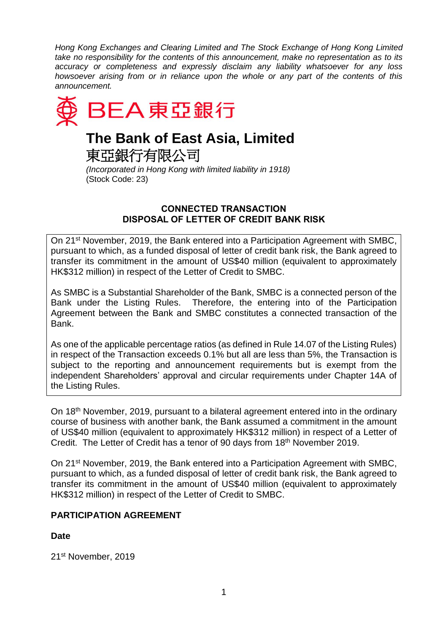*Hong Kong Exchanges and Clearing Limited and The Stock Exchange of Hong Kong Limited take no responsibility for the contents of this announcement, make no representation as to its accuracy or completeness and expressly disclaim any liability whatsoever for any loss howsoever arising from or in reliance upon the whole or any part of the contents of this announcement.*



# **The Bank of East Asia, Limited**

東亞銀行有限公司

*(Incorporated in Hong Kong with limited liability in 1918)* (Stock Code: 23)

## **CONNECTED TRANSACTION DISPOSAL OF LETTER OF CREDIT BANK RISK**

On 21<sup>st</sup> November, 2019, the Bank entered into a Participation Agreement with SMBC, pursuant to which, as a funded disposal of letter of credit bank risk, the Bank agreed to transfer its commitment in the amount of US\$40 million (equivalent to approximately HK\$312 million) in respect of the Letter of Credit to SMBC.

As SMBC is a Substantial Shareholder of the Bank, SMBC is a connected person of the Bank under the Listing Rules. Therefore, the entering into of the Participation Agreement between the Bank and SMBC constitutes a connected transaction of the Bank.

As one of the applicable percentage ratios (as defined in Rule 14.07 of the Listing Rules) in respect of the Transaction exceeds 0.1% but all are less than 5%, the Transaction is subject to the reporting and announcement requirements but is exempt from the independent Shareholders' approval and circular requirements under Chapter 14A of the Listing Rules.

On 18th November, 2019, pursuant to a bilateral agreement entered into in the ordinary course of business with another bank, the Bank assumed a commitment in the amount of US\$40 million (equivalent to approximately HK\$312 million) in respect of a Letter of Credit. The Letter of Credit has a tenor of 90 days from 18<sup>th</sup> November 2019.

On 21st November, 2019, the Bank entered into a Participation Agreement with SMBC, pursuant to which, as a funded disposal of letter of credit bank risk, the Bank agreed to transfer its commitment in the amount of US\$40 million (equivalent to approximately HK\$312 million) in respect of the Letter of Credit to SMBC.

# **PARTICIPATION AGREEMENT**

# **Date**

21st November, 2019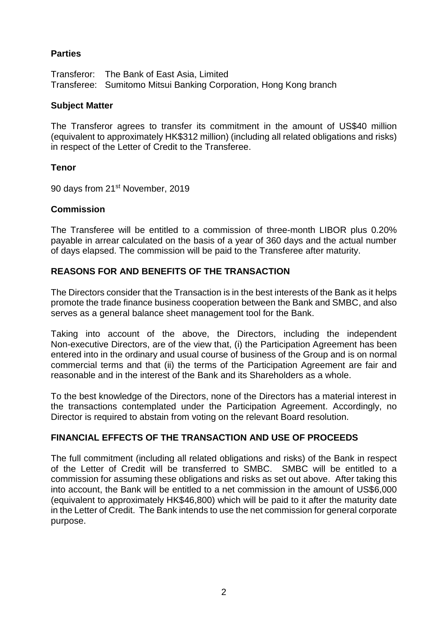## **Parties**

Transferor: The Bank of East Asia, Limited Transferee: Sumitomo Mitsui Banking Corporation, Hong Kong branch

#### **Subject Matter**

The Transferor agrees to transfer its commitment in the amount of US\$40 million (equivalent to approximately HK\$312 million) (including all related obligations and risks) in respect of the Letter of Credit to the Transferee.

#### **Tenor**

90 days from 21<sup>st</sup> November, 2019

#### **Commission**

The Transferee will be entitled to a commission of three-month LIBOR plus 0.20% payable in arrear calculated on the basis of a year of 360 days and the actual number of days elapsed. The commission will be paid to the Transferee after maturity.

#### **REASONS FOR AND BENEFITS OF THE TRANSACTION**

The Directors consider that the Transaction is in the best interests of the Bank as it helps promote the trade finance business cooperation between the Bank and SMBC, and also serves as a general balance sheet management tool for the Bank.

Taking into account of the above, the Directors, including the independent Non-executive Directors, are of the view that, (i) the Participation Agreement has been entered into in the ordinary and usual course of business of the Group and is on normal commercial terms and that (ii) the terms of the Participation Agreement are fair and reasonable and in the interest of the Bank and its Shareholders as a whole.

To the best knowledge of the Directors, none of the Directors has a material interest in the transactions contemplated under the Participation Agreement. Accordingly, no Director is required to abstain from voting on the relevant Board resolution.

#### **FINANCIAL EFFECTS OF THE TRANSACTION AND USE OF PROCEEDS**

The full commitment (including all related obligations and risks) of the Bank in respect of the Letter of Credit will be transferred to SMBC. SMBC will be entitled to a commission for assuming these obligations and risks as set out above. After taking this into account, the Bank will be entitled to a net commission in the amount of US\$6,000 (equivalent to approximately HK\$46,800) which will be paid to it after the maturity date in the Letter of Credit. The Bank intends to use the net commission for general corporate purpose.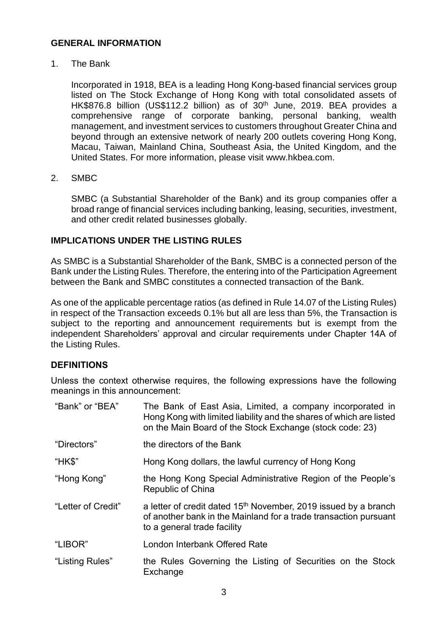#### **GENERAL INFORMATION**

1. The Bank

Incorporated in 1918, BEA is a leading Hong Kong-based financial services group listed on The Stock Exchange of Hong Kong with total consolidated assets of HK\$876.8 billion (US\$112.2 billion) as of 30<sup>th</sup> June, 2019. BEA provides a comprehensive range of corporate banking, personal banking, wealth management, and investment services to customers throughout Greater China and beyond through an extensive network of nearly 200 outlets covering Hong Kong, Macau, Taiwan, Mainland China, Southeast Asia, the United Kingdom, and the United States. For more information, please visit www.hkbea.com.

2. SMBC

SMBC (a Substantial Shareholder of the Bank) and its group companies offer a broad range of financial services including banking, leasing, securities, investment, and other credit related businesses globally.

# **IMPLICATIONS UNDER THE LISTING RULES**

As SMBC is a Substantial Shareholder of the Bank, SMBC is a connected person of the Bank under the Listing Rules. Therefore, the entering into of the Participation Agreement between the Bank and SMBC constitutes a connected transaction of the Bank.

As one of the applicable percentage ratios (as defined in Rule 14.07 of the Listing Rules) in respect of the Transaction exceeds 0.1% but all are less than 5%, the Transaction is subject to the reporting and announcement requirements but is exempt from the independent Shareholders' approval and circular requirements under Chapter 14A of the Listing Rules.

#### **DEFINITIONS**

Unless the context otherwise requires, the following expressions have the following meanings in this announcement:

| "Bank" or "BEA"    | The Bank of East Asia, Limited, a company incorporated in<br>Hong Kong with limited liability and the shares of which are listed<br>on the Main Board of the Stock Exchange (stock code: 23) |
|--------------------|----------------------------------------------------------------------------------------------------------------------------------------------------------------------------------------------|
| "Directors"        | the directors of the Bank                                                                                                                                                                    |
| "HK\$"             | Hong Kong dollars, the lawful currency of Hong Kong                                                                                                                                          |
| "Hong Kong"        | the Hong Kong Special Administrative Region of the People's<br><b>Republic of China</b>                                                                                                      |
| "Letter of Credit" | a letter of credit dated 15 <sup>th</sup> November, 2019 issued by a branch<br>of another bank in the Mainland for a trade transaction pursuant<br>to a general trade facility               |
| "LIBOR"            | London Interbank Offered Rate                                                                                                                                                                |
| "Listing Rules"    | the Rules Governing the Listing of Securities on the Stock<br>Exchange                                                                                                                       |